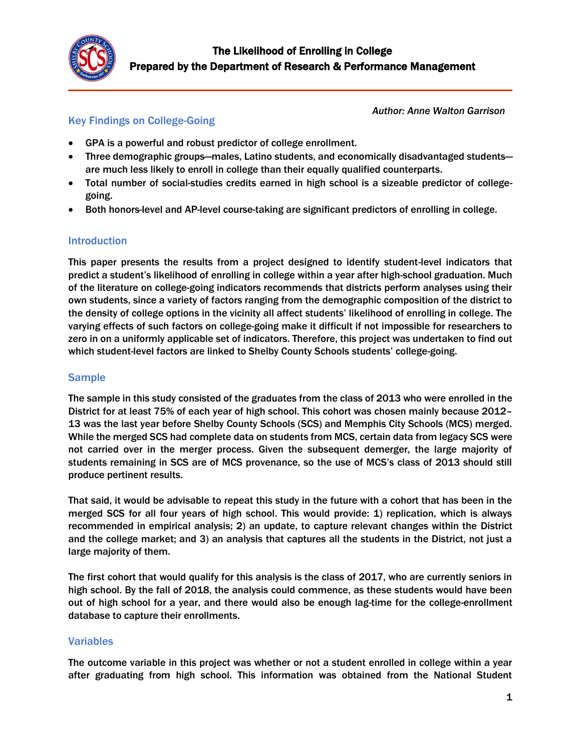

# Key Findings on College-Going

*Author: Anne Walton Garrison*

- GPA is a powerful and robust predictor of college enrollment.
- Three demographic groups—males, Latino students, and economically disadvantaged students are much less likely to enroll in college than their equally qualified counterparts.
- Total number of social-studies credits earned in high school is a sizeable predictor of collegegoing.
- Both honors-level and AP-level course-taking are significant predictors of enrolling in college.

## **Introduction**

This paper presents the results from a project designed to identify student-level indicators that predict a student's likelihood of enrolling in college within a year after high-school graduation. Much of the literature on college-going indicators recommends that districts perform analyses using their own students, since a variety of factors ranging from the demographic composition of the district to the density of college options in the vicinity all affect students' likelihood of enrolling in college. The varying effects of such factors on college-going make it difficult if not impossible for researchers to zero in on a uniformly applicable set of indicators. Therefore, this project was undertaken to find out which student-level factors are linked to Shelby County Schools students' college-going.

### Sample

The sample in this study consisted of the graduates from the class of 2013 who were enrolled in the District for at least 75% of each year of high school. This cohort was chosen mainly because 2012– 13 was the last year before Shelby County Schools (SCS) and Memphis City Schools (MCS) merged. While the merged SCS had complete data on students from MCS, certain data from legacy SCS were not carried over in the merger process. Given the subsequent demerger, the large majority of students remaining in SCS are of MCS provenance, so the use of MCS's class of 2013 should still produce pertinent results.

That said, it would be advisable to repeat this study in the future with a cohort that has been in the merged SCS for all four years of high school. This would provide: 1) replication, which is always recommended in empirical analysis; 2) an update, to capture relevant changes within the District and the college market; and 3) an analysis that captures all the students in the District, not just a large majority of them.

The first cohort that would qualify for this analysis is the class of 2017, who are currently seniors in high school. By the fall of 2018, the analysis could commence, as these students would have been out of high school for a year, and there would also be enough lag-time for the college-enrollment database to capture their enrollments.

## Variables

The outcome variable in this project was whether or not a student enrolled in college within a year after graduating from high school. This information was obtained from the National Student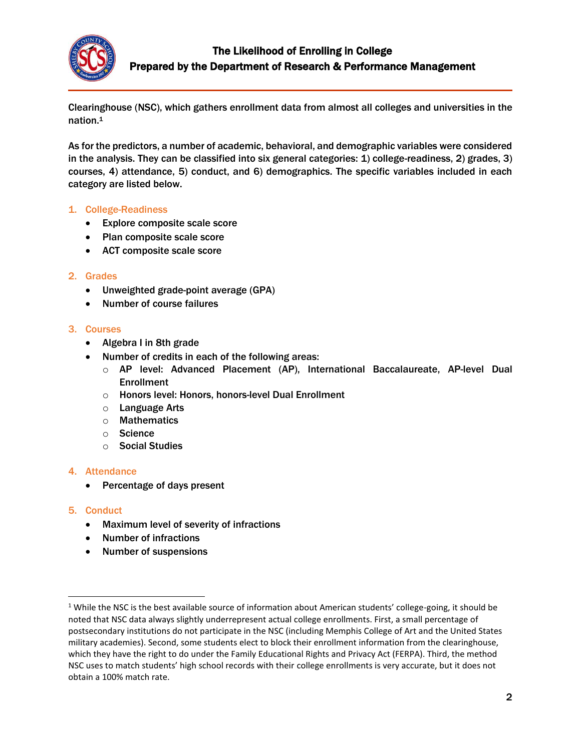

Clearinghouse (NSC), which gathers enrollment data from almost all colleges and universities in the nation.<sup>1</sup>

As for the predictors, a number of academic, behavioral, and demographic variables were considered in the analysis. They can be classified into six general categories: 1) college-readiness, 2) grades, 3) courses, 4) attendance, 5) conduct, and 6) demographics. The specific variables included in each category are listed below.

### 1. College-Readiness

- Explore composite scale score
- Plan composite scale score
- ACT composite scale score

### 2. Grades

- Unweighted grade-point average (GPA)
- Number of course failures

#### 3. Courses

- Algebra I in 8th grade
- Number of credits in each of the following areas:
	- o AP level: Advanced Placement (AP), International Baccalaureate, AP-level Dual Enrollment
	- o Honors level: Honors, honors-level Dual Enrollment
	- o Language Arts
	- o Mathematics
	- o Science
	- o Social Studies

#### 4. Attendance

Percentage of days present

#### 5. Conduct

 $\overline{\phantom{a}}$ 

- Maximum level of severity of infractions
- Number of infractions
- Number of suspensions

<sup>&</sup>lt;sup>1</sup> While the NSC is the best available source of information about American students' college-going, it should be noted that NSC data always slightly underrepresent actual college enrollments. First, a small percentage of postsecondary institutions do not participate in the NSC (including Memphis College of Art and the United States military academies). Second, some students elect to block their enrollment information from the clearinghouse, which they have the right to do under the Family Educational Rights and Privacy Act (FERPA). Third, the method NSC uses to match students' high school records with their college enrollments is very accurate, but it does not obtain a 100% match rate.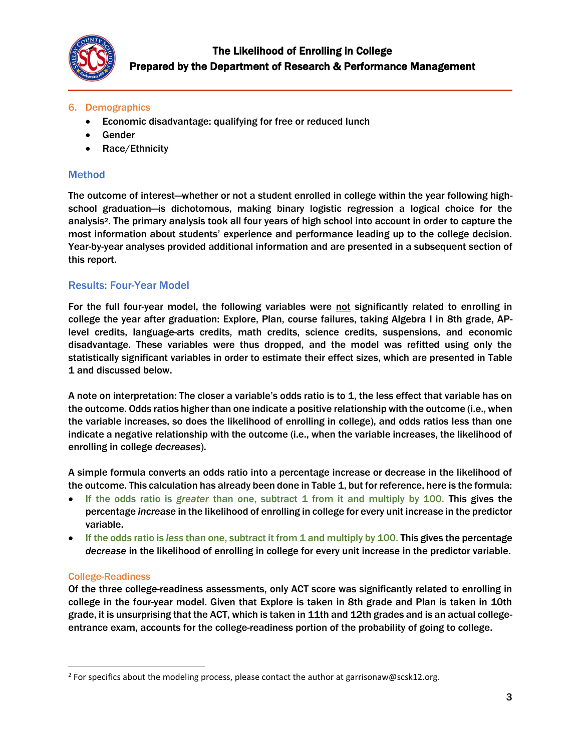

## 6. Demographics

- Economic disadvantage: qualifying for free or reduced lunch
- Gender
- Race/Ethnicity

## Method

The outcome of interest—whether or not a student enrolled in college within the year following highschool graduation—is dichotomous, making binary logistic regression a logical choice for the analysis2. The primary analysis took all four years of high school into account in order to capture the most information about students' experience and performance leading up to the college decision. Year-by-year analyses provided additional information and are presented in a subsequent section of this report.

## Results: Four-Year Model

For the full four-year model, the following variables were not significantly related to enrolling in college the year after graduation: Explore, Plan, course failures, taking Algebra I in 8th grade, APlevel credits, language-arts credits, math credits, science credits, suspensions, and economic disadvantage. These variables were thus dropped, and the model was refitted using only the statistically significant variables in order to estimate their effect sizes, which are presented in Table 1 and discussed below.

A note on interpretation: The closer a variable's odds ratio is to 1, the less effect that variable has on the outcome. Odds ratios higher than one indicate a positive relationship with the outcome (i.e., when the variable increases, so does the likelihood of enrolling in college), and odds ratios less than one indicate a negative relationship with the outcome (i.e., when the variable increases, the likelihood of enrolling in college *decreases*).

A simple formula converts an odds ratio into a percentage increase or decrease in the likelihood of the outcome. This calculation has already been done in Table 1, but for reference, here is the formula:

- If the odds ratio is *greater* than one, subtract 1 from it and multiply by 100. This gives the percentage *increase* in the likelihood of enrolling in college for every unit increase in the predictor variable.
- If the odds ratio is *less* than one, subtract it from 1 and multiply by 100. This gives the percentage *decrease* in the likelihood of enrolling in college for every unit increase in the predictor variable.

## College-Readiness

 $\overline{\phantom{a}}$ 

Of the three college-readiness assessments, only ACT score was significantly related to enrolling in college in the four-year model. Given that Explore is taken in 8th grade and Plan is taken in 10th grade, it is unsurprising that the ACT, which is taken in 11th and 12th grades and is an actual collegeentrance exam, accounts for the college-readiness portion of the probability of going to college.

<sup>&</sup>lt;sup>2</sup> For specifics about the modeling process, please contact the author at garrisonaw@scsk12.org.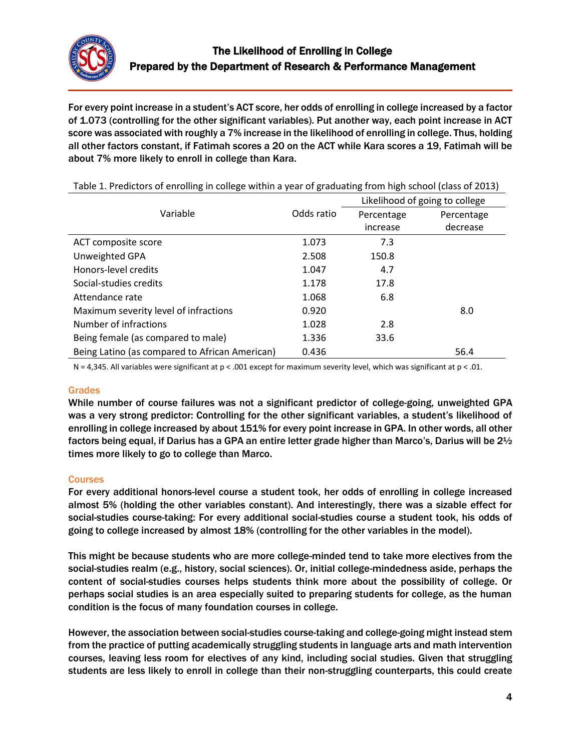

For every point increase in a student's ACT score, her odds of enrolling in college increased by a factor of 1.073 (controlling for the other significant variables). Put another way, each point increase in ACT score was associated with roughly a 7% increase in the likelihood of enrolling in college. Thus, holding all other factors constant, if Fatimah scores a 20 on the ACT while Kara scores a 19, Fatimah will be about 7% more likely to enroll in college than Kara.

|                                                | Odds ratio | Likelihood of going to college |            |  |
|------------------------------------------------|------------|--------------------------------|------------|--|
| Variable                                       |            | Percentage                     | Percentage |  |
|                                                |            | increase                       | decrease   |  |
| ACT composite score                            | 1.073      | 7.3                            |            |  |
| Unweighted GPA                                 | 2.508      | 150.8                          |            |  |
| Honors-level credits                           | 1.047      | 4.7                            |            |  |
| Social-studies credits                         | 1.178      | 17.8                           |            |  |
| Attendance rate                                | 1.068      | 6.8                            |            |  |
| Maximum severity level of infractions          | 0.920      |                                | 8.0        |  |
| Number of infractions                          | 1.028      | 2.8                            |            |  |
| Being female (as compared to male)             | 1.336      | 33.6                           |            |  |
| Being Latino (as compared to African American) | 0.436      |                                | 56.4       |  |

Table 1. Predictors of enrolling in college within a year of graduating from high school (class of 2013)

N = 4,345. All variables were significant at  $p < .001$  except for maximum severity level, which was significant at  $p < .01$ .

#### Grades

While number of course failures was not a significant predictor of college-going, unweighted GPA was a very strong predictor: Controlling for the other significant variables, a student's likelihood of enrolling in college increased by about 151% for every point increase in GPA. In other words, all other factors being equal, if Darius has a GPA an entire letter grade higher than Marco's, Darius will be 21/2 times more likely to go to college than Marco.

#### **Courses**

For every additional honors-level course a student took, her odds of enrolling in college increased almost 5% (holding the other variables constant). And interestingly, there was a sizable effect for social-studies course-taking: For every additional social-studies course a student took, his odds of going to college increased by almost 18% (controlling for the other variables in the model).

This might be because students who are more college-minded tend to take more electives from the social-studies realm (e.g., history, social sciences). Or, initial college-mindedness aside, perhaps the content of social-studies courses helps students think more about the possibility of college. Or perhaps social studies is an area especially suited to preparing students for college, as the human condition is the focus of many foundation courses in college.

However, the association between social-studies course-taking and college-going might instead stem from the practice of putting academically struggling students in language arts and math intervention courses, leaving less room for electives of any kind, including social studies. Given that struggling students are less likely to enroll in college than their non-struggling counterparts, this could create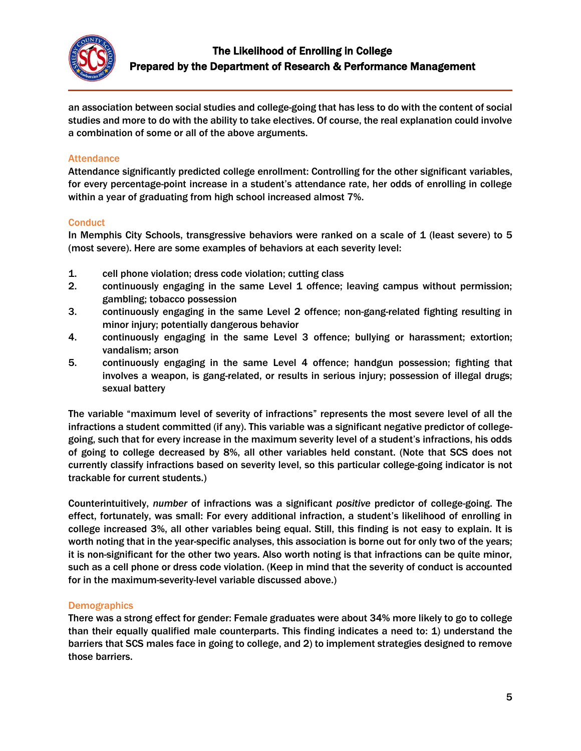

an association between social studies and college-going that has less to do with the content of social studies and more to do with the ability to take electives. Of course, the real explanation could involve a combination of some or all of the above arguments.

### **Attendance**

Attendance significantly predicted college enrollment: Controlling for the other significant variables, for every percentage-point increase in a student's attendance rate, her odds of enrolling in college within a year of graduating from high school increased almost 7%.

#### **Conduct**

In Memphis City Schools, transgressive behaviors were ranked on a scale of 1 (least severe) to 5 (most severe). Here are some examples of behaviors at each severity level:

- 1. cell phone violation; dress code violation; cutting class
- 2. continuously engaging in the same Level 1 offence; leaving campus without permission; gambling; tobacco possession
- 3. continuously engaging in the same Level 2 offence; non-gang-related fighting resulting in minor injury; potentially dangerous behavior
- 4. continuously engaging in the same Level 3 offence; bullying or harassment; extortion; vandalism; arson
- 5. continuously engaging in the same Level 4 offence; handgun possession; fighting that involves a weapon, is gang-related, or results in serious injury; possession of illegal drugs; sexual battery

The variable "maximum level of severity of infractions" represents the most severe level of all the infractions a student committed (if any). This variable was a significant negative predictor of collegegoing, such that for every increase in the maximum severity level of a student's infractions, his odds of going to college decreased by 8%, all other variables held constant. (Note that SCS does not currently classify infractions based on severity level, so this particular college-going indicator is not trackable for current students.)

Counterintuitively, *number* of infractions was a significant *positive* predictor of college-going. The effect, fortunately, was small: For every additional infraction, a student's likelihood of enrolling in college increased 3%, all other variables being equal. Still, this finding is not easy to explain. It is worth noting that in the year-specific analyses, this association is borne out for only two of the years; it is non-significant for the other two years. Also worth noting is that infractions can be quite minor, such as a cell phone or dress code violation. (Keep in mind that the severity of conduct is accounted for in the maximum-severity-level variable discussed above.)

#### **Demographics**

There was a strong effect for gender: Female graduates were about 34% more likely to go to college than their equally qualified male counterparts. This finding indicates a need to: 1) understand the barriers that SCS males face in going to college, and 2) to implement strategies designed to remove those barriers.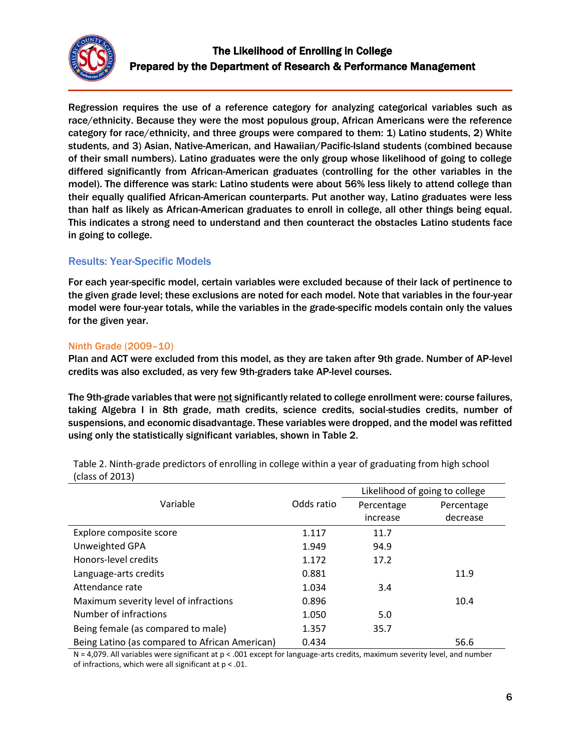

Regression requires the use of a reference category for analyzing categorical variables such as race/ethnicity. Because they were the most populous group, African Americans were the reference category for race/ethnicity, and three groups were compared to them: 1) Latino students, 2) White students, and 3) Asian, Native-American, and Hawaiian/Pacific-Island students (combined because of their small numbers). Latino graduates were the only group whose likelihood of going to college differed significantly from African-American graduates (controlling for the other variables in the model). The difference was stark: Latino students were about 56% less likely to attend college than their equally qualified African-American counterparts. Put another way, Latino graduates were less than half as likely as African-American graduates to enroll in college, all other things being equal. This indicates a strong need to understand and then counteract the obstacles Latino students face in going to college.

# Results: Year-Specific Models

For each year-specific model, certain variables were excluded because of their lack of pertinence to the given grade level; these exclusions are noted for each model. Note that variables in the four-year model were four-year totals, while the variables in the grade-specific models contain only the values for the given year.

### Ninth Grade (2009–10)

Plan and ACT were excluded from this model, as they are taken after 9th grade. Number of AP-level credits was also excluded, as very few 9th-graders take AP-level courses.

The 9th-grade variables that were not significantly related to college enrollment were: course failures, taking Algebra I in 8th grade, math credits, science credits, social-studies credits, number of suspensions, and economic disadvantage. These variables were dropped, and the model was refitted using only the statistically significant variables, shown in Table 2.

|                                                |            | Likelihood of going to college |            |  |
|------------------------------------------------|------------|--------------------------------|------------|--|
| Variable                                       | Odds ratio | Percentage                     | Percentage |  |
|                                                |            | increase                       | decrease   |  |
| Explore composite score                        | 1.117      | 11.7                           |            |  |
| Unweighted GPA                                 | 1.949      | 94.9                           |            |  |
| Honors-level credits                           | 1.172      | 17.2                           |            |  |
| Language-arts credits                          | 0.881      |                                | 11.9       |  |
| Attendance rate                                | 1.034      | 3.4                            |            |  |
| Maximum severity level of infractions          | 0.896      |                                | 10.4       |  |
| Number of infractions                          | 1.050      | 5.0                            |            |  |
| Being female (as compared to male)             | 1.357      | 35.7                           |            |  |
| Being Latino (as compared to African American) | 0.434      |                                | 56.6       |  |

Table 2. Ninth-grade predictors of enrolling in college within a year of graduating from high school (class of 2013)

 $N = 4.079$ . All variables were significant at  $p < .001$  except for language-arts credits, maximum severity level, and number of infractions, which were all significant at p < .01.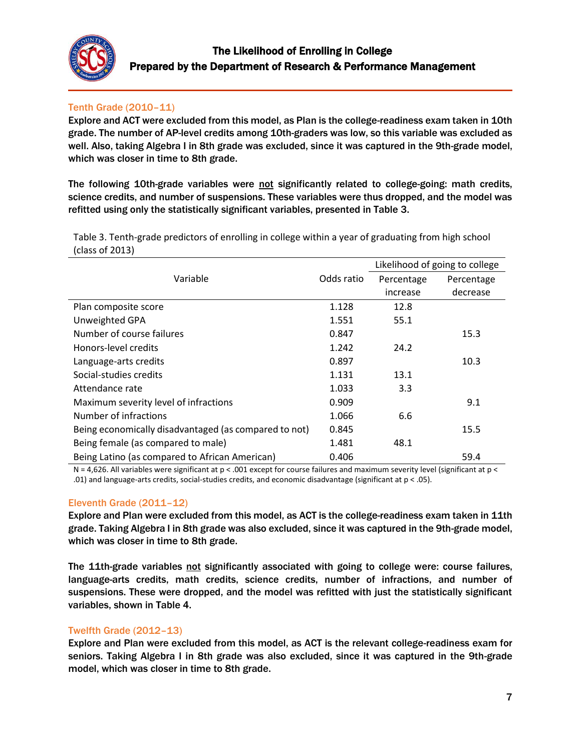

# Tenth Grade (2010–11)

Explore and ACT were excluded from this model, as Plan is the college-readiness exam taken in 10th grade. The number of AP-level credits among 10th-graders was low, so this variable was excluded as well. Also, taking Algebra I in 8th grade was excluded, since it was captured in the 9th-grade model, which was closer in time to 8th grade.

The following 10th-grade variables were not significantly related to college-going: math credits, science credits, and number of suspensions. These variables were thus dropped, and the model was refitted using only the statistically significant variables, presented in Table 3.

Table 3. Tenth-grade predictors of enrolling in college within a year of graduating from high school (class of 2013)

|                                                       |            | Likelihood of going to college |            |
|-------------------------------------------------------|------------|--------------------------------|------------|
| Variable                                              | Odds ratio | Percentage                     | Percentage |
|                                                       |            | increase                       | decrease   |
| Plan composite score                                  | 1.128      | 12.8                           |            |
| Unweighted GPA                                        | 1.551      | 55.1                           |            |
| Number of course failures                             | 0.847      |                                | 15.3       |
| Honors-level credits                                  | 1.242      | 24.2                           |            |
| Language-arts credits                                 | 0.897      |                                | 10.3       |
| Social-studies credits                                | 1.131      | 13.1                           |            |
| Attendance rate                                       | 1.033      | 3.3                            |            |
| Maximum severity level of infractions                 | 0.909      |                                | 9.1        |
| Number of infractions                                 | 1.066      | 6.6                            |            |
| Being economically disadvantaged (as compared to not) | 0.845      |                                | 15.5       |
| Being female (as compared to male)                    | 1.481      | 48.1                           |            |
| Being Latino (as compared to African American)        | 0.406      |                                | 59.4       |

N = 4,626. All variables were significant at p < .001 except for course failures and maximum severity level (significant at p < .01) and language-arts credits, social-studies credits, and economic disadvantage (significant at p < .05).

## Eleventh Grade (2011–12)

Explore and Plan were excluded from this model, as ACT is the college-readiness exam taken in 11th grade. Taking Algebra I in 8th grade was also excluded, since it was captured in the 9th-grade model, which was closer in time to 8th grade.

The 11th-grade variables not significantly associated with going to college were: course failures, language-arts credits, math credits, science credits, number of infractions, and number of suspensions. These were dropped, and the model was refitted with just the statistically significant variables, shown in Table 4.

#### Twelfth Grade (2012–13)

Explore and Plan were excluded from this model, as ACT is the relevant college-readiness exam for seniors. Taking Algebra I in 8th grade was also excluded, since it was captured in the 9th-grade model, which was closer in time to 8th grade.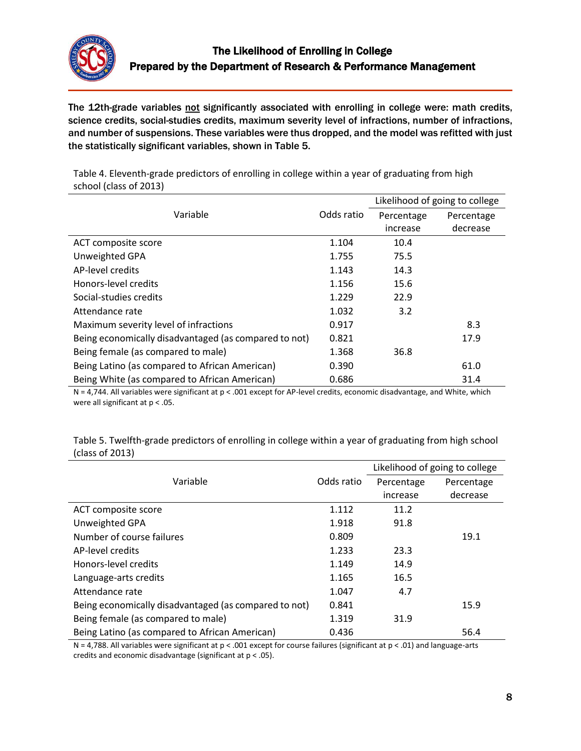

The 12th-grade variables not significantly associated with enrolling in college were: math credits, science credits, social-studies credits, maximum severity level of infractions, number of infractions, and number of suspensions. These variables were thus dropped, and the model was refitted with just the statistically significant variables, shown in Table 5.

|                                                       |            | Likelihood of going to college |            |
|-------------------------------------------------------|------------|--------------------------------|------------|
| Variable                                              | Odds ratio | Percentage                     | Percentage |
|                                                       |            | increase                       | decrease   |
| ACT composite score                                   | 1.104      | 10.4                           |            |
| Unweighted GPA                                        | 1.755      | 75.5                           |            |
| AP-level credits                                      | 1.143      | 14.3                           |            |
| Honors-level credits                                  | 1.156      | 15.6                           |            |
| Social-studies credits                                | 1.229      | 22.9                           |            |
| Attendance rate                                       | 1.032      | 3.2                            |            |
| Maximum severity level of infractions                 | 0.917      |                                | 8.3        |
| Being economically disadvantaged (as compared to not) | 0.821      |                                | 17.9       |
| Being female (as compared to male)                    | 1.368      | 36.8                           |            |
| Being Latino (as compared to African American)        | 0.390      |                                | 61.0       |
| Being White (as compared to African American)         | 0.686      |                                | 31.4       |

Table 4. Eleventh-grade predictors of enrolling in college within a year of graduating from high school (class of 2013)

 $N = 4,744$ . All variables were significant at  $p < .001$  except for AP-level credits, economic disadvantage, and White, which were all significant at p < .05.

Table 5. Twelfth-grade predictors of enrolling in college within a year of graduating from high school (class of 2013)

|                                                       |            | Likelihood of going to college |            |
|-------------------------------------------------------|------------|--------------------------------|------------|
| Variable                                              | Odds ratio | Percentage                     | Percentage |
|                                                       |            | increase                       | decrease   |
| ACT composite score                                   | 1.112      | 11.2                           |            |
| Unweighted GPA                                        | 1.918      | 91.8                           |            |
| Number of course failures                             | 0.809      |                                | 19.1       |
| AP-level credits                                      | 1.233      | 23.3                           |            |
| Honors-level credits                                  | 1.149      | 14.9                           |            |
| Language-arts credits                                 | 1.165      | 16.5                           |            |
| Attendance rate                                       | 1.047      | 4.7                            |            |
| Being economically disadvantaged (as compared to not) | 0.841      |                                | 15.9       |
| Being female (as compared to male)                    | 1.319      | 31.9                           |            |
| Being Latino (as compared to African American)        | 0.436      |                                | 56.4       |

N = 4,788. All variables were significant at p < .001 except for course failures (significant at p < .01) and language-arts credits and economic disadvantage (significant at p < .05).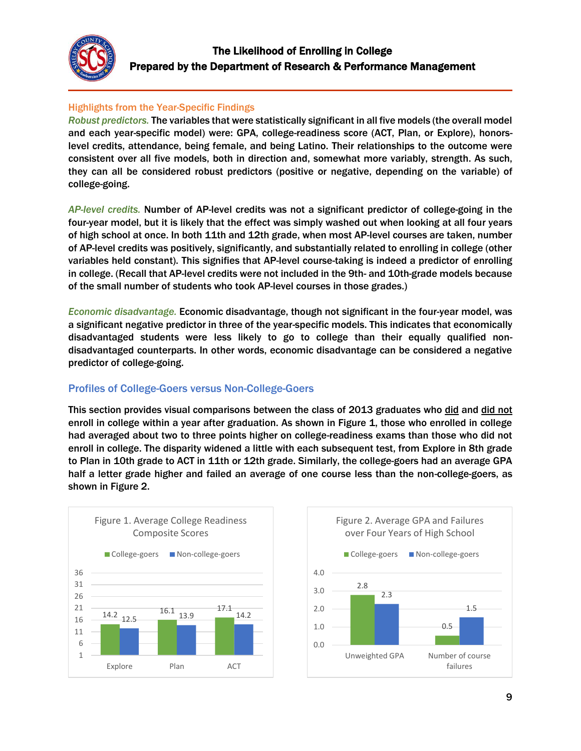

# Highlights from the Year-Specific Findings

*Robust predictors.* The variables that were statistically significant in all five models (the overall model and each year-specific model) were: GPA, college-readiness score (ACT, Plan, or Explore), honorslevel credits, attendance, being female, and being Latino. Their relationships to the outcome were consistent over all five models, both in direction and, somewhat more variably, strength. As such, they can all be considered robust predictors (positive or negative, depending on the variable) of college-going.

*AP-level credits.* Number of AP-level credits was not a significant predictor of college-going in the four-year model, but it is likely that the effect was simply washed out when looking at all four years of high school at once. In both 11th and 12th grade, when most AP-level courses are taken, number of AP-level credits was positively, significantly, and substantially related to enrolling in college (other variables held constant). This signifies that AP-level course-taking is indeed a predictor of enrolling in college. (Recall that AP-level credits were not included in the 9th- and 10th-grade models because of the small number of students who took AP-level courses in those grades.)

*Economic disadvantage.* Economic disadvantage, though not significant in the four-year model, was a significant negative predictor in three of the year-specific models. This indicates that economically disadvantaged students were less likely to go to college than their equally qualified nondisadvantaged counterparts. In other words, economic disadvantage can be considered a negative predictor of college-going.

## Profiles of College-Goers versus Non-College-Goers

This section provides visual comparisons between the class of 2013 graduates who did and did not enroll in college within a year after graduation. As shown in Figure 1, those who enrolled in college had averaged about two to three points higher on college-readiness exams than those who did not enroll in college. The disparity widened a little with each subsequent test, from Explore in 8th grade to Plan in 10th grade to ACT in 11th or 12th grade. Similarly, the college-goers had an average GPA half a letter grade higher and failed an average of one course less than the non-college-goers, as shown in Figure 2.



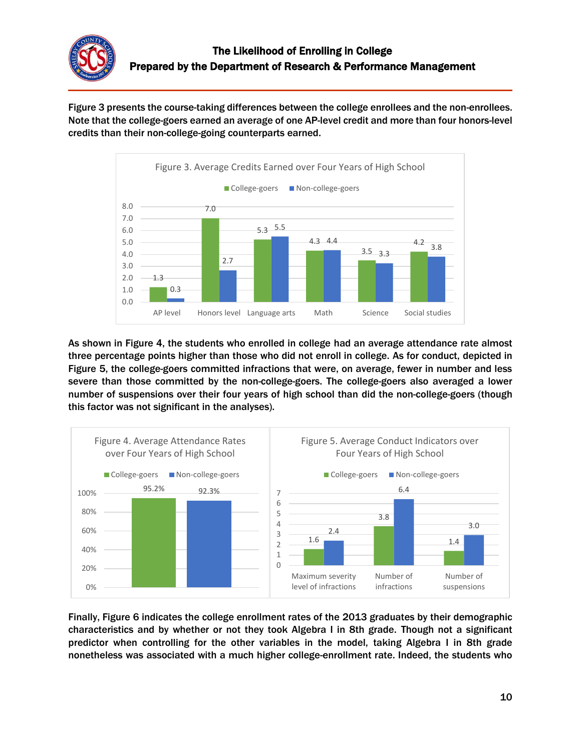

Figure 3 presents the course-taking differences between the college enrollees and the non-enrollees. Note that the college-goers earned an average of one AP-level credit and more than four honors-level credits than their non-college-going counterparts earned.



As shown in Figure 4, the students who enrolled in college had an average attendance rate almost three percentage points higher than those who did not enroll in college. As for conduct, depicted in Figure 5, the college-goers committed infractions that were, on average, fewer in number and less severe than those committed by the non-college-goers. The college-goers also averaged a lower number of suspensions over their four years of high school than did the non-college-goers (though this factor was not significant in the analyses).



Finally, Figure 6 indicates the college enrollment rates of the 2013 graduates by their demographic characteristics and by whether or not they took Algebra I in 8th grade. Though not a significant predictor when controlling for the other variables in the model, taking Algebra I in 8th grade nonetheless was associated with a much higher college-enrollment rate. Indeed, the students who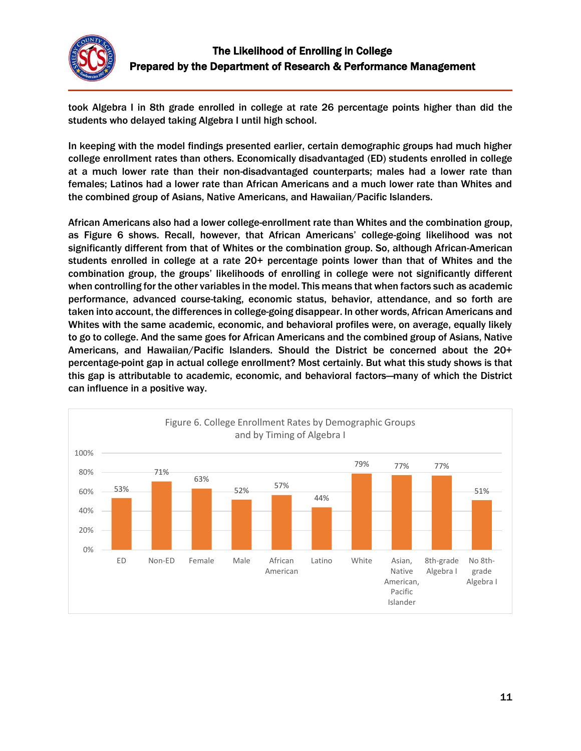

took Algebra I in 8th grade enrolled in college at rate 26 percentage points higher than did the students who delayed taking Algebra I until high school.

In keeping with the model findings presented earlier, certain demographic groups had much higher college enrollment rates than others. Economically disadvantaged (ED) students enrolled in college at a much lower rate than their non-disadvantaged counterparts; males had a lower rate than females; Latinos had a lower rate than African Americans and a much lower rate than Whites and the combined group of Asians, Native Americans, and Hawaiian/Pacific Islanders.

African Americans also had a lower college-enrollment rate than Whites and the combination group, as Figure 6 shows. Recall, however, that African Americans' college-going likelihood was not significantly different from that of Whites or the combination group. So, although African-American students enrolled in college at a rate 20+ percentage points lower than that of Whites and the combination group, the groups' likelihoods of enrolling in college were not significantly different when controlling for the other variables in the model. This means that when factors such as academic performance, advanced course-taking, economic status, behavior, attendance, and so forth are taken into account, the differences in college-going disappear. In other words, African Americans and Whites with the same academic, economic, and behavioral profiles were, on average, equally likely to go to college. And the same goes for African Americans and the combined group of Asians, Native Americans, and Hawaiian/Pacific Islanders. Should the District be concerned about the 20+ percentage-point gap in actual college enrollment? Most certainly. But what this study shows is that this gap is attributable to academic, economic, and behavioral factors—many of which the District can influence in a positive way.